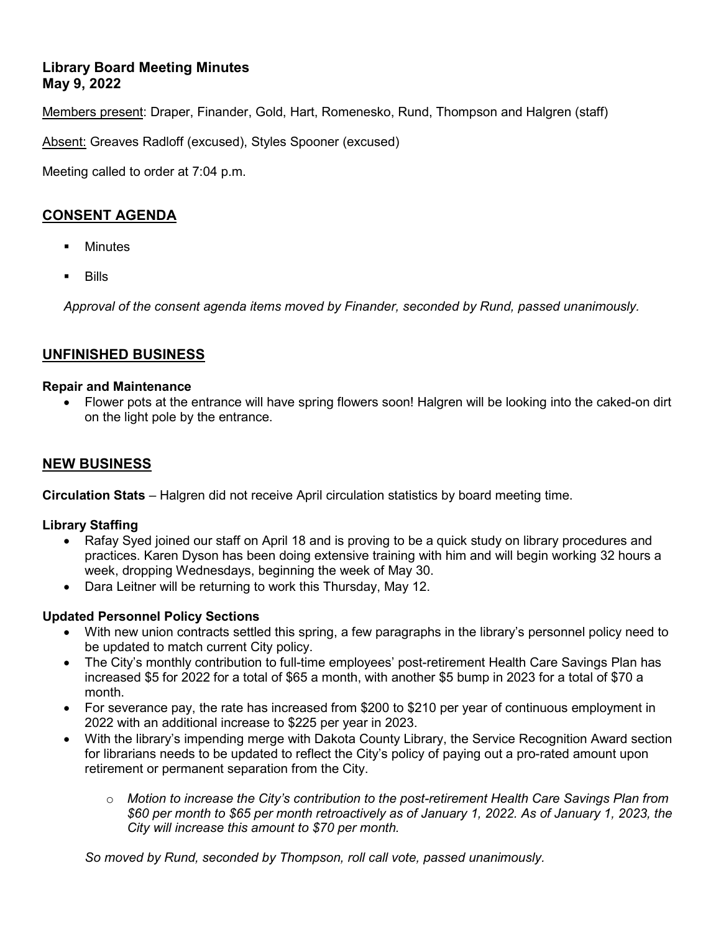# **Library Board Meeting Minutes May 9, 2022**

Members present: Draper, Finander, Gold, Hart, Romenesko, Rund, Thompson and Halgren (staff)

Absent: Greaves Radloff (excused), Styles Spooner (excused)

Meeting called to order at 7:04 p.m.

# **CONSENT AGENDA**

- **Minutes**
- Bills

*Approval of the consent agenda items moved by Finander, seconded by Rund, passed unanimously.*

# **UNFINISHED BUSINESS**

#### **Repair and Maintenance**

• Flower pots at the entrance will have spring flowers soon! Halgren will be looking into the caked-on dirt on the light pole by the entrance.

# **NEW BUSINESS**

**Circulation Stats** – Halgren did not receive April circulation statistics by board meeting time.

# **Library Staffing**

- Rafay Syed joined our staff on April 18 and is proving to be a quick study on library procedures and practices. Karen Dyson has been doing extensive training with him and will begin working 32 hours a week, dropping Wednesdays, beginning the week of May 30.
- Dara Leitner will be returning to work this Thursday, May 12.

# **Updated Personnel Policy Sections**

- With new union contracts settled this spring, a few paragraphs in the library's personnel policy need to be updated to match current City policy.
- The City's monthly contribution to full-time employees' post-retirement Health Care Savings Plan has increased \$5 for 2022 for a total of \$65 a month, with another \$5 bump in 2023 for a total of \$70 a month.
- For severance pay, the rate has increased from \$200 to \$210 per year of continuous employment in 2022 with an additional increase to \$225 per year in 2023.
- With the library's impending merge with Dakota County Library, the Service Recognition Award section for librarians needs to be updated to reflect the City's policy of paying out a pro-rated amount upon retirement or permanent separation from the City.
	- o *Motion to increase the City's contribution to the post-retirement Health Care Savings Plan from \$60 per month to \$65 per month retroactively as of January 1, 2022. As of January 1, 2023, the City will increase this amount to \$70 per month.*

*So moved by Rund, seconded by Thompson, roll call vote, passed unanimously.*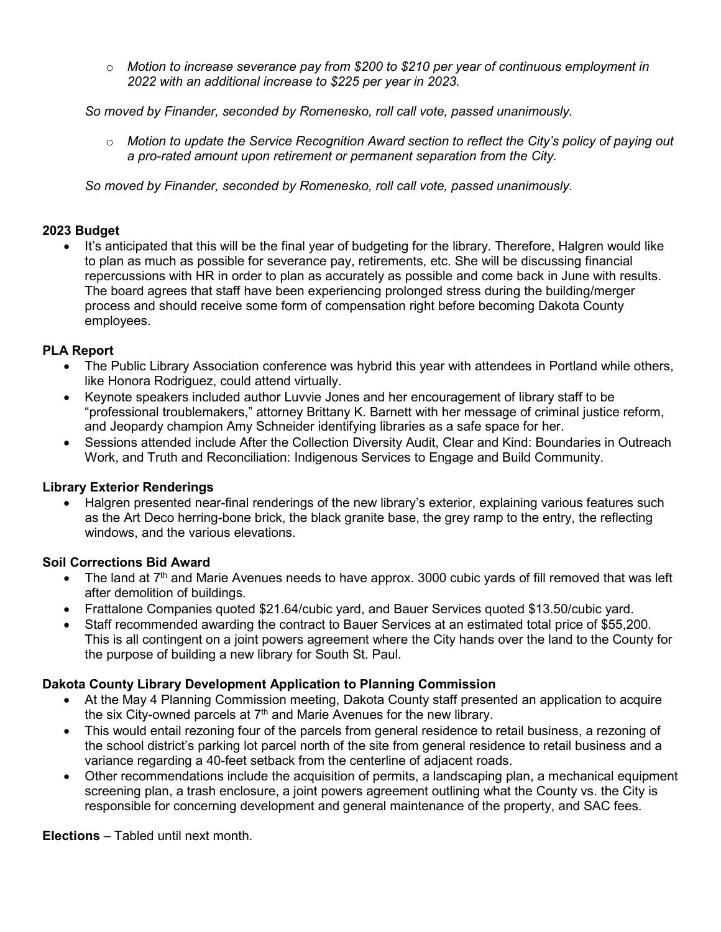o *Motion to increase severance pay from \$200 to \$210 per year of continuous employment in 2022 with an additional increase to \$225 per year in 2023.*

*So moved by Finander, seconded by Romenesko, roll call vote, passed unanimously.*

o *Motion to update the Service Recognition Award section to reflect the City's policy of paying out a pro-rated amount upon retirement or permanent separation from the City.*

*So moved by Finander, seconded by Romenesko, roll call vote, passed unanimously.*

#### **2023 Budget**

• It's anticipated that this will be the final year of budgeting for the library. Therefore, Halgren would like to plan as much as possible for severance pay, retirements, etc. She will be discussing financial repercussions with HR in order to plan as accurately as possible and come back in June with results. The board agrees that staff have been experiencing prolonged stress during the building/merger process and should receive some form of compensation right before becoming Dakota County employees.

#### **PLA Report**

- The Public Library Association conference was hybrid this year with attendees in Portland while others, like Honora Rodriguez, could attend virtually.
- Keynote speakers included author Luvvie Jones and her encouragement of library staff to be "professional troublemakers," attorney Brittany K. Barnett with her message of criminal justice reform, and Jeopardy champion Amy Schneider identifying libraries as a safe space for her.
- Sessions attended include After the Collection Diversity Audit, Clear and Kind: Boundaries in Outreach Work, and Truth and Reconciliation: Indigenous Services to Engage and Build Community.

#### **Library Exterior Renderings**

• Halgren presented near-final renderings of the new library's exterior, explaining various features such as the Art Deco herring-bone brick, the black granite base, the grey ramp to the entry, the reflecting windows, and the various elevations.

# **Soil Corrections Bid Award**

- The land at 7<sup>th</sup> and Marie Avenues needs to have approx. 3000 cubic yards of fill removed that was left after demolition of buildings.
- Frattalone Companies quoted \$21.64/cubic yard, and Bauer Services quoted \$13.50/cubic yard.
- Staff recommended awarding the contract to Bauer Services at an estimated total price of \$55,200. This is all contingent on a joint powers agreement where the City hands over the land to the County for the purpose of building a new library for South St. Paul.

# **Dakota County Library Development Application to Planning Commission**

- At the May 4 Planning Commission meeting, Dakota County staff presented an application to acquire the six City-owned parcels at  $7<sup>th</sup>$  and Marie Avenues for the new library.
- This would entail rezoning four of the parcels from general residence to retail business, a rezoning of the school district's parking lot parcel north of the site from general residence to retail business and a variance regarding a 40-feet setback from the centerline of adjacent roads.
- Other recommendations include the acquisition of permits, a landscaping plan, a mechanical equipment screening plan, a trash enclosure, a joint powers agreement outlining what the County vs. the City is responsible for concerning development and general maintenance of the property, and SAC fees.

**Elections** – Tabled until next month.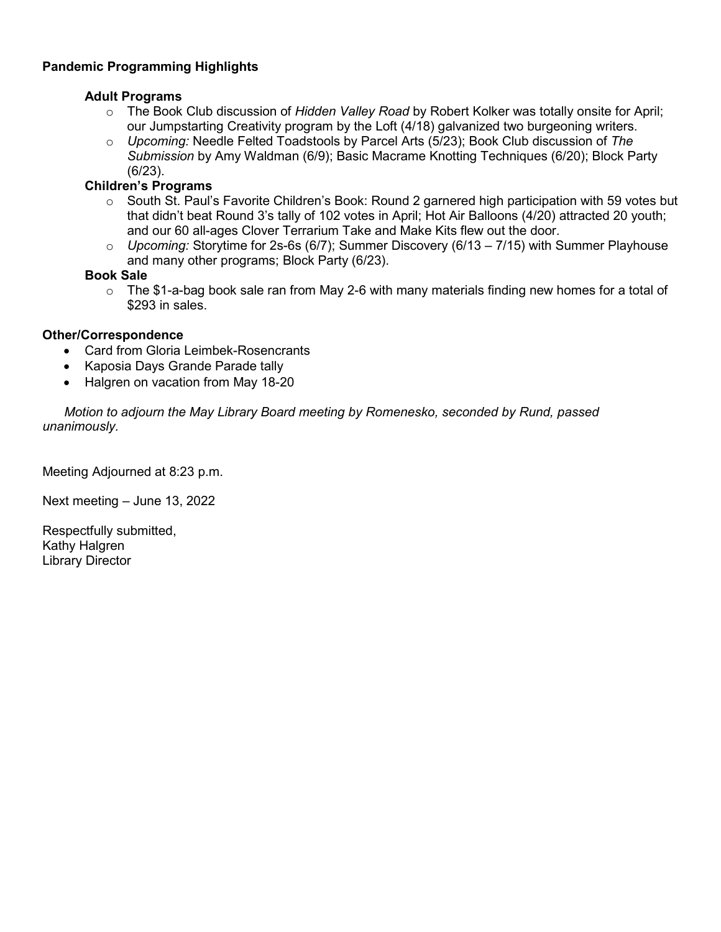# **Pandemic Programming Highlights**

#### **Adult Programs**

- o The Book Club discussion of *Hidden Valley Road* by Robert Kolker was totally onsite for April; our Jumpstarting Creativity program by the Loft (4/18) galvanized two burgeoning writers.
- o *Upcoming:* Needle Felted Toadstools by Parcel Arts (5/23); Book Club discussion of *The Submission* by Amy Waldman (6/9); Basic Macrame Knotting Techniques (6/20); Block Party (6/23).

# **Children's Programs**

- $\circ$  South St. Paul's Favorite Children's Book: Round 2 garnered high participation with 59 votes but that didn't beat Round 3's tally of 102 votes in April; Hot Air Balloons (4/20) attracted 20 youth; and our 60 all-ages Clover Terrarium Take and Make Kits flew out the door.
- o *Upcoming:* Storytime for 2s-6s (6/7); Summer Discovery (6/13 7/15) with Summer Playhouse and many other programs; Block Party (6/23).

# **Book Sale**

o The \$1-a-bag book sale ran from May 2-6 with many materials finding new homes for a total of \$293 in sales.

# **Other/Correspondence**

- Card from Gloria Leimbek-Rosencrants
- Kaposia Days Grande Parade tally
- Halgren on vacation from May 18-20

 *Motion to adjourn the May Library Board meeting by Romenesko, seconded by Rund, passed unanimously.*

Meeting Adjourned at 8:23 p.m.

Next meeting – June 13, 2022

Respectfully submitted, Kathy Halgren Library Director